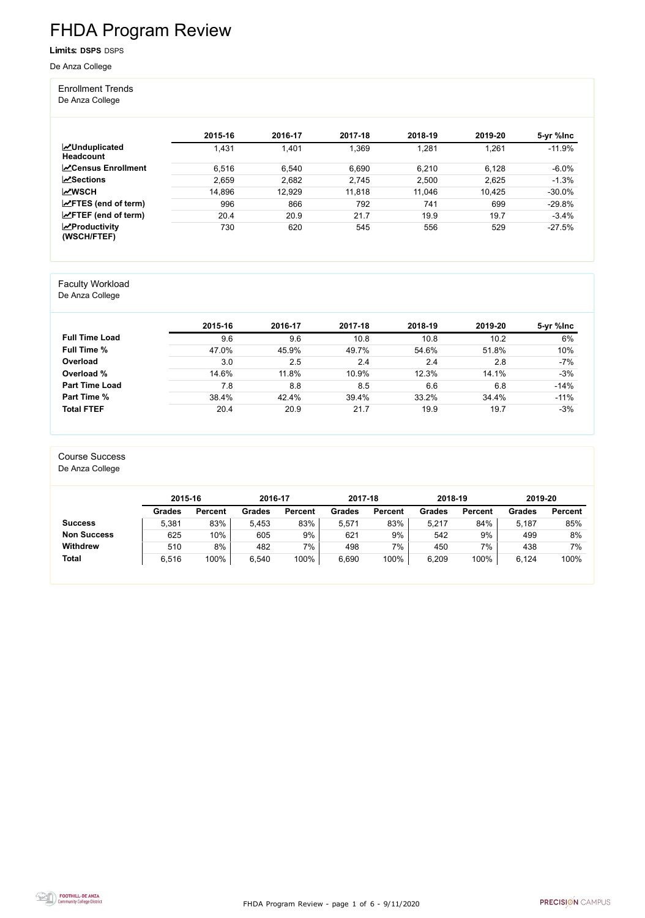FHDA Program Review - page 1 of 6 - 9/11/2020



# FHDA Program Review

Limits: **DSPS** DSPS

De Anza College

#### Enrollment Trends

De Anza College

|                                          | 2015-16 | 2016-17 | 2017-18 | 2018-19 | 2019-20 | 5-yr %lnc |
|------------------------------------------|---------|---------|---------|---------|---------|-----------|
| <b>MUnduplicated</b><br><b>Headcount</b> | .431    | 1,401   | 1,369   | 1,281   | 1,261   | $-11.9%$  |
| <b>N</b> Census Enrollment               | 6,516   | 6,540   | 6,690   | 6,210   | 6,128   | $-6.0\%$  |
| $\sqrt{S}$ ections                       | 2,659   | 2,682   | 2,745   | 2,500   | 2,625   | $-1.3%$   |
| <b>MWSCH</b>                             | 14,896  | 12,929  | 11,818  | 11,046  | 10,425  | $-30.0%$  |
| $\angle$ FTES (end of term)              | 996     | 866     | 792     | 741     | 699     | $-29.8%$  |
| $\angle$ FTEF (end of term)              | 20.4    | 20.9    | 21.7    | 19.9    | 19.7    | $-3.4%$   |
| $\mathbf{z}$ Productivity<br>(WSCH/FTEF) | 730     | 620     | 545     | 556     | 529     | $-27.5%$  |

#### Faculty Workload

De Anza College

|                       | 2015-16 | 2016-17 | 2017-18 | 2018-19 | 2019-20 | 5-yr %lnc |
|-----------------------|---------|---------|---------|---------|---------|-----------|
| <b>Full Time Load</b> | 9.6     | 9.6     | 10.8    | 10.8    | 10.2    | 6%        |
| <b>Full Time %</b>    | 47.0%   | 45.9%   | 49.7%   | 54.6%   | 51.8%   | 10%       |
| Overload              | 3.0     | 2.5     | 2.4     | 2.4     | 2.8     | $-7%$     |
| Overload %            | 14.6%   | 11.8%   | 10.9%   | 12.3%   | 14.1%   | $-3%$     |
| <b>Part Time Load</b> | 7.8     | 8.8     | 8.5     | 6.6     | 6.8     | $-14%$    |
| <b>Part Time %</b>    | 38.4%   | 42.4%   | 39.4%   | 33.2%   | 34.4%   | $-11%$    |
| <b>Total FTEF</b>     | 20.4    | 20.9    | 21.7    | 19.9    | 19.7    | $-3%$     |

#### Course Success

De Anza College

|                    | 2015-16       |                | 2016-17 |                | 2017-18       |                | 2018-19       |                | 2019-20       |                |
|--------------------|---------------|----------------|---------|----------------|---------------|----------------|---------------|----------------|---------------|----------------|
|                    | <b>Grades</b> | <b>Percent</b> | Grades  | <b>Percent</b> | <b>Grades</b> | <b>Percent</b> | <b>Grades</b> | <b>Percent</b> | <b>Grades</b> | <b>Percent</b> |
| <b>Success</b>     | 5,381         | 83%            | 5.453   | 83%            | 5,571         | 83%            | 5,217         | 84%            | 5,187         | 85%            |
| <b>Non Success</b> | 625           | 10%            | 605     | 9%             | 621           | 9%             | 542           | 9%             | 499           | 8%             |
| <b>Withdrew</b>    | 510           | 8%             | 482     | 7%             | 498           | 7%             | 450           | 7%             | 438           | 7%             |
| <b>Total</b>       | 6,516         | 100%           | 6,540   | 100%           | 6,690         | 100%           | 6,209         | 100%           | 6,124         | 100%           |

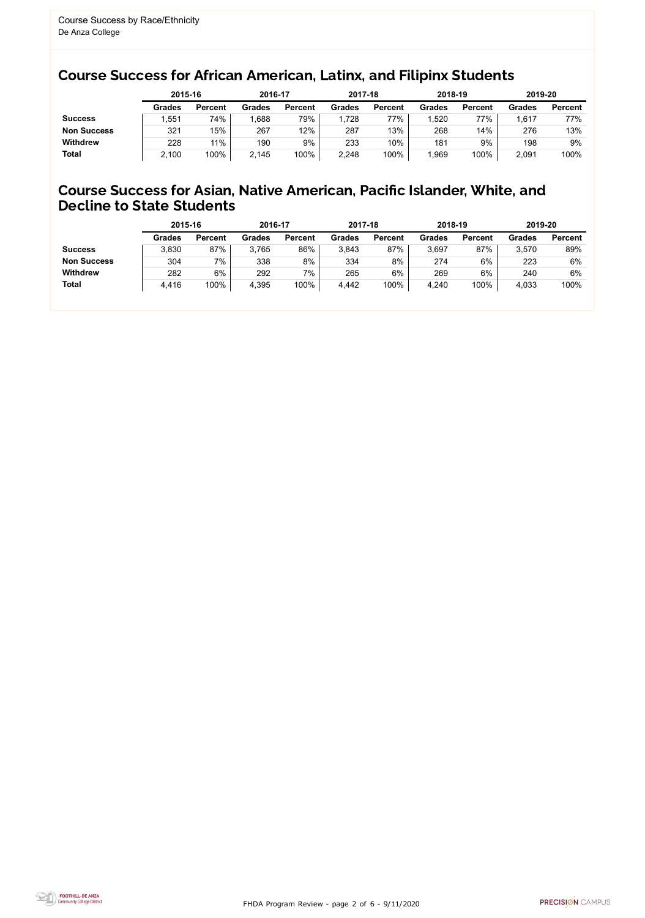FHDA Program Review - page 2 of 6 - 9/11/2020



## Course Success for African American, Latinx, and Filipinx Students

### Course Success for Asian, Native American, Pacific Islander, White, and Decline to State Students

| 2015-16       |                | 2016-17       |                | 2017-18       |                | 2018-19       |                | 2019-20 |                |
|---------------|----------------|---------------|----------------|---------------|----------------|---------------|----------------|---------|----------------|
| <b>Grades</b> | <b>Percent</b> | <b>Grades</b> | <b>Percent</b> | <b>Grades</b> | <b>Percent</b> | <b>Grades</b> | <b>Percent</b> | Grades  | <b>Percent</b> |
| ,551          | 74%            | .688          | 79%            | 1,728         | 77%            | .520          | 77%            | 617.ا   | 77%            |
| 321           | 15%            | 267           | 12%            | 287           | 13%            | 268           | 14%            | 276     | 13%            |
| 228           | 11%            | 190           | 9%             | 233           | 10%            | 181           | 9%             | 198     | 9%             |
| 2,100         | 100%           | 2,145         | 100%           | 2,248         | 100%           | 1,969         | 100%           | 2,091   | 100%           |
|               |                |               |                |               |                |               |                |         |                |

|                    | 2015-16       |                | 2016-17       |                | 2017-18       |                | 2018-19       |                | 2019-20 |                |
|--------------------|---------------|----------------|---------------|----------------|---------------|----------------|---------------|----------------|---------|----------------|
|                    | <b>Grades</b> | <b>Percent</b> | <b>Grades</b> | <b>Percent</b> | <b>Grades</b> | <b>Percent</b> | <b>Grades</b> | <b>Percent</b> | Grades  | <b>Percent</b> |
| <b>Success</b>     | 3,830         | 87%            | 3.765         | 86%            | 3,843         | 87%            | 3,697         | 87%            | 3,570   | 89%            |
| <b>Non Success</b> | 304           | $7\%$          | 338           | 8%             | 334           | 8%             | 274           | 6%             | 223     | 6%             |
| <b>Withdrew</b>    | 282           | 6%             | 292           | 7%             | 265           | 6%             | 269           | 6%             | 240     | 6%             |
| <b>Total</b>       | 4,416         | 100%           | 4,395         | 100%           | 4,442         | 100%           | 4,240         | 100%           | 4,033   | 100%           |
|                    |               |                |               |                |               |                |               |                |         |                |

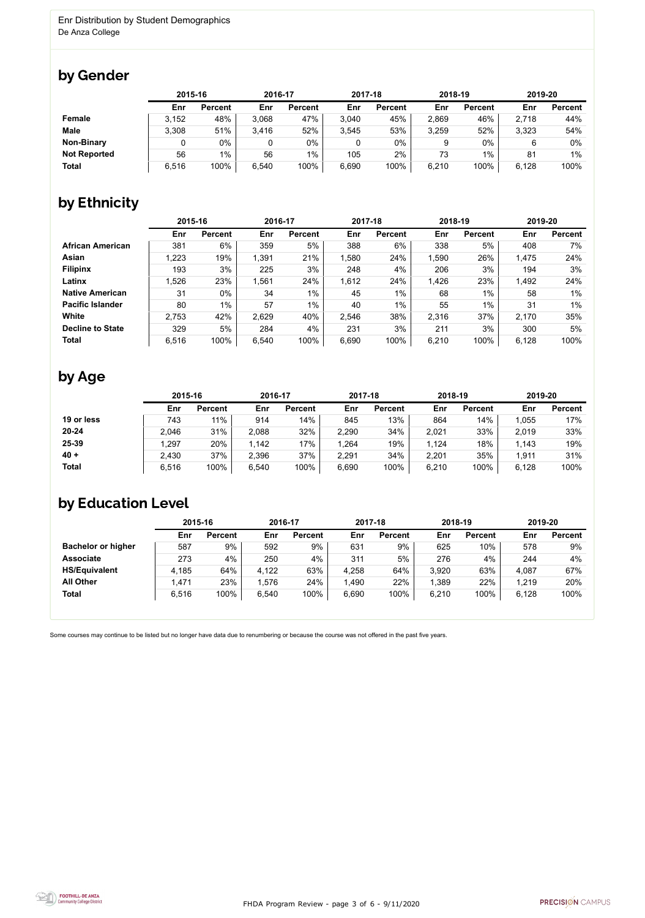FHDA Program Review - page 3 of 6 - 9/11/2020



Some courses may continue to be listed but no longer have data due to renumbering or because the course was not offered in the past five years.



## by Gender

|                     | 2015-16 |                |       | 2016-17        |       | 2017-18        |       | 2018-19        | 2019-20 |                |
|---------------------|---------|----------------|-------|----------------|-------|----------------|-------|----------------|---------|----------------|
|                     | Enr     | <b>Percent</b> | Enr   | <b>Percent</b> | Enr   | <b>Percent</b> | Enr   | <b>Percent</b> | Enr     | <b>Percent</b> |
| <b>Female</b>       | 3.152   | 48%            | 3,068 | 47%            | 3,040 | 45%            | 2,869 | 46%            | 2,718   | 44%            |
| <b>Male</b>         | 3,308   | 51%            | 3,416 | 52%            | 3,545 | 53%            | 3,259 | 52%            | 3,323   | 54%            |
| <b>Non-Binary</b>   |         | 0%             |       | $0\%$          |       | $0\%$          | 9     | 0%             |         | 0%             |
| <b>Not Reported</b> | 56      | $1\%$          | 56    | $1\%$          | 105   | 2%             | 73    | 1%             | 81      | $1\%$          |
| <b>Total</b>        | 6,516   | 100%           | 6,540 | 100%           | 6,690 | 100%           | 6,210 | 100%           | 6,128   | 100%           |

## by Ethnicity

|                         | 2015-16 |                |       | 2016-17        |       | 2017-18        | 2018-19 |                | 2019-20 |                |
|-------------------------|---------|----------------|-------|----------------|-------|----------------|---------|----------------|---------|----------------|
|                         | Enr     | <b>Percent</b> | Enr   | <b>Percent</b> | Enr   | <b>Percent</b> | Enr     | <b>Percent</b> | Enr     | <b>Percent</b> |
| <b>African American</b> | 381     | 6%             | 359   | 5%             | 388   | 6%             | 338     | 5%             | 408     | 7%             |
| Asian                   | 1,223   | 19%            | 1,391 | 21%            | 1,580 | 24%            | 1,590   | 26%            | 1,475   | 24%            |
| <b>Filipinx</b>         | 193     | 3%             | 225   | 3%             | 248   | 4%             | 206     | 3%             | 194     | 3%             |
| Latinx                  | 1,526   | 23%            | 1,561 | 24%            | 1,612 | 24%            | 1,426   | 23%            | 1,492   | 24%            |
| <b>Native American</b>  | 31      | $0\%$          | 34    | $1\%$          | 45    | $1\%$          | 68      | $1\%$          | 58      | $1\%$          |
| <b>Pacific Islander</b> | 80      | $1\%$          | 57    | $1\%$          | 40    | $1\%$          | 55      | $1\%$          | 31      | 1%             |
| White                   | 2,753   | 42%            | 2,629 | 40%            | 2,546 | 38%            | 2,316   | 37%            | 2,170   | 35%            |
| <b>Decline to State</b> | 329     | 5%             | 284   | 4%             | 231   | 3%             | 211     | 3%             | 300     | 5%             |
| <b>Total</b>            | 6,516   | 100%           | 6,540 | 100%           | 6,690 | 100%           | 6,210   | 100%           | 6,128   | 100%           |

## by Age

|              |       | 2015-16        |       | 2016-17        |       | 2017-18        |       | 2018-19        | 2019-20 |                |
|--------------|-------|----------------|-------|----------------|-------|----------------|-------|----------------|---------|----------------|
|              | Enr   | <b>Percent</b> | Enr   | <b>Percent</b> | Enr   | <b>Percent</b> | Enr   | <b>Percent</b> | Enr     | <b>Percent</b> |
| 19 or less   | 743   | 11%            | 914   | 14%            | 845   | 13%            | 864   | 14%            | 1,055   | 17%            |
| $20 - 24$    | 2,046 | 31%            | 2,088 | 32%            | 2,290 | 34%            | 2,021 | 33%            | 2,019   | 33%            |
| 25-39        | ,297  | 20%            | 1,142 | 17%            | 1,264 | 19%            | 1,124 | 18%            | 1,143   | 19%            |
| $40 +$       | 2,430 | 37%            | 2,396 | 37%            | 2,291 | 34%            | 2,201 | 35%            | 1,911   | 31%            |
| <b>Total</b> | 6,516 | 100%           | 6,540 | 100%           | 6,690 | 100%           | 6,210 | 100%           | 6,128   | 100%           |

## by Education Level

|                           | 2015-16 |                |       | 2016-17        |       | 2017-18        | 2018-19 |                | 2019-20 |                |
|---------------------------|---------|----------------|-------|----------------|-------|----------------|---------|----------------|---------|----------------|
|                           | Enr     | <b>Percent</b> | Enr   | <b>Percent</b> | Enr   | <b>Percent</b> | Enr     | <b>Percent</b> | Enr     | <b>Percent</b> |
| <b>Bachelor or higher</b> | 587     | 9%             | 592   | 9%             | 631   | $9\%$          | 625     | 10%            | 578     | 9%             |
| <b>Associate</b>          | 273     | 4%             | 250   | 4%             | 311   | 5%             | 276     | 4%             | 244     | 4%             |
| <b>HS/Equivalent</b>      | 4,185   | 64%            | 4,122 | 63%            | 4,258 | 64%            | 3,920   | 63%            | 4,087   | 67%            |
| <b>All Other</b>          | 1,471   | 23%            | .576  | 24%            | 1,490 | 22%            | 1,389   | 22%            | 1,219   | 20%            |
| <b>Total</b>              | 6,516   | 100%           | 6,540 | 100%           | 6,690 | 100%           | 6,210   | 100%           | 6,128   | 100%           |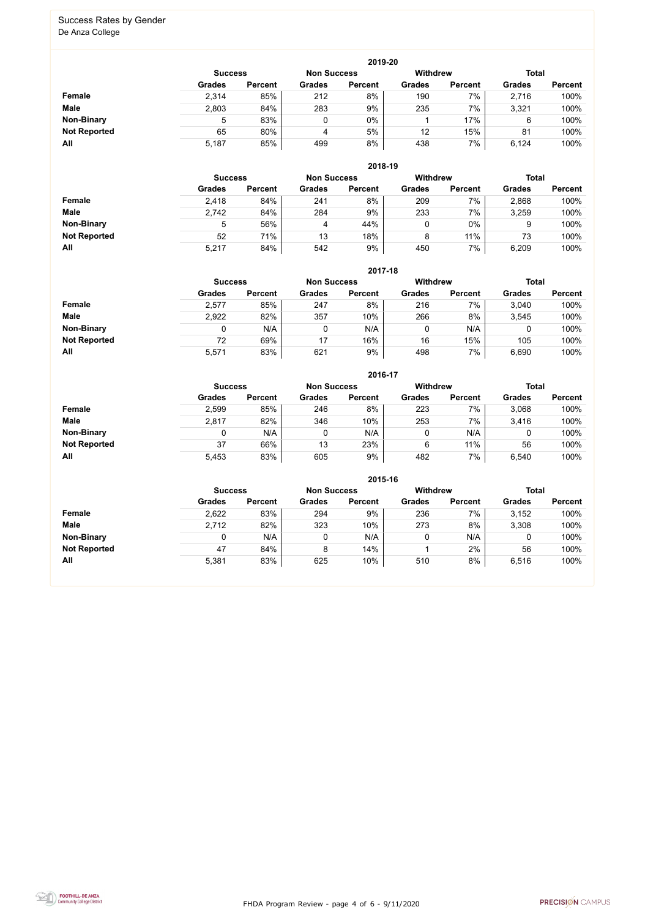FHDA Program Review - page 4 of 6 - 9/11/2020



#### Success Rates by Gender De Anza College

|                     | 2019-20        |                |                    |                |                 |                |               |                |  |  |  |  |  |
|---------------------|----------------|----------------|--------------------|----------------|-----------------|----------------|---------------|----------------|--|--|--|--|--|
|                     | <b>Success</b> |                | <b>Non Success</b> |                | <b>Withdrew</b> |                | <b>Total</b>  |                |  |  |  |  |  |
|                     | <b>Grades</b>  | <b>Percent</b> | <b>Grades</b>      | <b>Percent</b> | <b>Grades</b>   | <b>Percent</b> | <b>Grades</b> | <b>Percent</b> |  |  |  |  |  |
| Female              | 2,314          | 85%            | 212                | 8%             | 190             | 7%             | 2,716         | 100%           |  |  |  |  |  |
| <b>Male</b>         | 2,803          | 84%            | 283                | 9%             | 235             | 7%             | 3,321         | 100%           |  |  |  |  |  |
| <b>Non-Binary</b>   | 5              | 83%            | 0                  | 0%             |                 | 17%            | 6             | 100%           |  |  |  |  |  |
| <b>Not Reported</b> | 65             | 80%            | 4                  | 5%             | 12              | 15%            | 81            | 100%           |  |  |  |  |  |
| All                 | 5,187          | 85%            | 499                | 8%             | 438             | 7%             | 6,124         | 100%           |  |  |  |  |  |

|                     | 2018-19       |                                      |               |                |               |                 |               |                |  |  |  |  |  |
|---------------------|---------------|--------------------------------------|---------------|----------------|---------------|-----------------|---------------|----------------|--|--|--|--|--|
|                     |               | <b>Non Success</b><br><b>Success</b> |               |                |               | <b>Withdrew</b> | <b>Total</b>  |                |  |  |  |  |  |
|                     | <b>Grades</b> | <b>Percent</b>                       | <b>Grades</b> | <b>Percent</b> | <b>Grades</b> | <b>Percent</b>  | <b>Grades</b> | <b>Percent</b> |  |  |  |  |  |
| <b>Female</b>       | 2,418         | 84%                                  | 241           | 8%             | 209           | 7%              | 2,868         | 100%           |  |  |  |  |  |
| <b>Male</b>         | 2,742         | 84%                                  | 284           | 9%             | 233           | 7%              | 3,259         | 100%           |  |  |  |  |  |
| <b>Non-Binary</b>   | 5             | 56%                                  | 4             | 44%            |               | $0\%$           | 9             | 100%           |  |  |  |  |  |
| <b>Not Reported</b> | 52            | 71%                                  | 13            | 18%            | 8             | 11%             | 73            | 100%           |  |  |  |  |  |
| All                 | 5,217         | 84%                                  | 542           | 9%             | 450           | 7%              | 6,209         | 100%           |  |  |  |  |  |

|                     |                | 2017-18        |                    |                 |               |                |               |                |  |  |  |  |  |  |
|---------------------|----------------|----------------|--------------------|-----------------|---------------|----------------|---------------|----------------|--|--|--|--|--|--|
|                     | <b>Success</b> |                | <b>Non Success</b> | <b>Withdrew</b> |               | <b>Total</b>   |               |                |  |  |  |  |  |  |
|                     | <b>Grades</b>  | <b>Percent</b> | <b>Grades</b>      | <b>Percent</b>  | <b>Grades</b> | <b>Percent</b> | <b>Grades</b> | <b>Percent</b> |  |  |  |  |  |  |
| Female              | 2,577          | 85%            | 247                | 8%              | 216           | 7%             | 3,040         | 100%           |  |  |  |  |  |  |
| <b>Male</b>         | 2,922          | 82%            | 357                | 10%             | 266           | 8%             | 3,545         | 100%           |  |  |  |  |  |  |
| <b>Non-Binary</b>   | 0              | N/A            |                    | N/A             | 0             | N/A            | 0             | 100%           |  |  |  |  |  |  |
| <b>Not Reported</b> | 72             | 69%            | 17                 | 16%             | 16            | 15%            | 105           | 100%           |  |  |  |  |  |  |
| All                 | 5,571          | 83%            | 621                | 9%              | 498           | 7%             | 6,690         | 100%           |  |  |  |  |  |  |

|                     |                | 2016-17        |                    |                |                 |                |               |                |  |  |
|---------------------|----------------|----------------|--------------------|----------------|-----------------|----------------|---------------|----------------|--|--|
|                     | <b>Success</b> |                | <b>Non Success</b> |                | <b>Withdrew</b> |                | <b>Total</b>  |                |  |  |
|                     | <b>Grades</b>  | <b>Percent</b> | <b>Grades</b>      | <b>Percent</b> | <b>Grades</b>   | <b>Percent</b> | <b>Grades</b> | <b>Percent</b> |  |  |
| <b>Female</b>       | 2,599          | 85%            | 246                | 8%             | 223             | 7%             | 3,068         | 100%           |  |  |
| <b>Male</b>         | 2,817          | 82%            | 346                | 10%            | 253             | 7%             | 3,416         | 100%           |  |  |
| <b>Non-Binary</b>   | 0              | N/A            |                    | N/A            | 0               | N/A            | 0             | 100%           |  |  |
| <b>Not Reported</b> | 37             | 66%            | 13                 | 23%            | 6               | 11%            | 56            | 100%           |  |  |
| All                 | 5,453          | 83%            | 605                | 9%             | 482             | 7%             | 6,540         | 100%           |  |  |

|                     |               | 2015-16                                                                 |               |                |               |                |               |                |  |  |
|---------------------|---------------|-------------------------------------------------------------------------|---------------|----------------|---------------|----------------|---------------|----------------|--|--|
|                     |               | <b>Withdrew</b><br><b>Total</b><br><b>Non Success</b><br><b>Success</b> |               |                |               |                |               |                |  |  |
|                     | <b>Grades</b> | <b>Percent</b>                                                          | <b>Grades</b> | <b>Percent</b> | <b>Grades</b> | <b>Percent</b> | <b>Grades</b> | <b>Percent</b> |  |  |
| <b>Female</b>       | 2,622         | 83%                                                                     | 294           | 9%             | 236           | 7%             | 3,152         | 100%           |  |  |
| <b>Male</b>         | 2,712         | 82%                                                                     | 323           | 10%            | 273           | 8%             | 3,308         | 100%           |  |  |
| <b>Non-Binary</b>   |               | N/A                                                                     | 0             | N/A            |               | N/A            |               | 100%           |  |  |
| <b>Not Reported</b> | 47            | 84%                                                                     | 8             | 14%            |               | 2%             | 56            | 100%           |  |  |
| All                 | 5,381         | 83%                                                                     | 625           | 10%            | 510           | 8%             | 6,516         | 100%           |  |  |

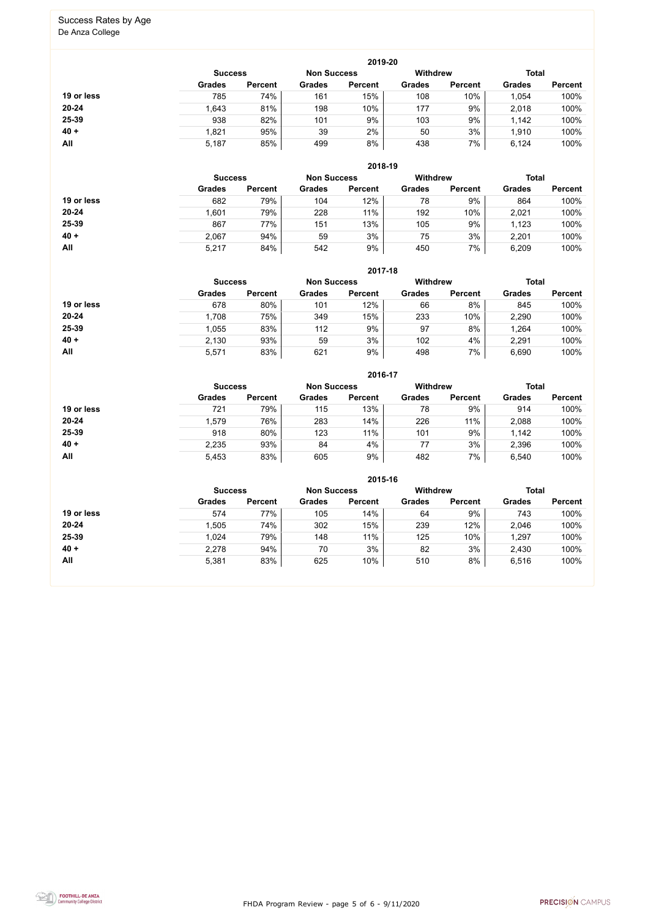FHDA Program Review - page 5 of 6 - 9/11/2020



#### Success Rates by Age De Anza College

|            | 2019-20        |                    |               |                 |               |                |               |                |  |
|------------|----------------|--------------------|---------------|-----------------|---------------|----------------|---------------|----------------|--|
|            | <b>Success</b> | <b>Non Success</b> |               | <b>Withdrew</b> |               | <b>Total</b>   |               |                |  |
|            | <b>Grades</b>  | <b>Percent</b>     | <b>Grades</b> | <b>Percent</b>  | <b>Grades</b> | <b>Percent</b> | <b>Grades</b> | <b>Percent</b> |  |
| 19 or less | 785            | 74%                | 161           | 15%             | 108           | 10%            | 1,054         | 100%           |  |
| $20 - 24$  | 1,643          | 81%                | 198           | 10%             | 177           | 9%             | 2,018         | 100%           |  |
| 25-39      | 938            | 82%                | 101           | 9%              | 103           | 9%             | 1,142         | 100%           |  |
| $40 +$     | 1,821          | 95%                | 39            | 2%              | 50            | 3%             | 1,910         | 100%           |  |
| All        | 5,187          | 85%                | 499           | 8%              | 438           | 7%             | 6,124         | 100%           |  |

|            | <b>Success</b> |                | <b>Non Success</b> |                | <b>Withdrew</b> |                | <b>Total</b>  |                |
|------------|----------------|----------------|--------------------|----------------|-----------------|----------------|---------------|----------------|
|            | <b>Grades</b>  | <b>Percent</b> | <b>Grades</b>      | <b>Percent</b> | <b>Grades</b>   | <b>Percent</b> | <b>Grades</b> | <b>Percent</b> |
| 19 or less | 682            | 79%            | 104                | 12%            | 78              | 9%             | 864           | 100%           |
| $20 - 24$  | 1,601          | 79%            | 228                | 11%            | 192             | 10%            | 2,021         | 100%           |
| $25 - 39$  | 867            | 77%            | 151                | 13%            | 105             | 9%             | 1,123         | 100%           |
| $40 +$     | 2,067          | 94%            | 59                 | 3%             | 75              | 3%             | 2,201         | 100%           |
| All        | 5,217          | 84%            | 542                | 9%             | 450             | 7%             | 6,209         | 100%           |

|            | 2017-18        |                |                    |                |                 |                |               |                |  |
|------------|----------------|----------------|--------------------|----------------|-----------------|----------------|---------------|----------------|--|
|            | <b>Success</b> |                | <b>Non Success</b> |                | <b>Withdrew</b> |                | <b>Total</b>  |                |  |
|            | <b>Grades</b>  | <b>Percent</b> | <b>Grades</b>      | <b>Percent</b> | <b>Grades</b>   | <b>Percent</b> | <b>Grades</b> | <b>Percent</b> |  |
| 19 or less | 678            | 80%            | 101                | 12%            | 66              | 8%             | 845           | 100%           |  |
| $20 - 24$  | 1,708          | 75%            | 349                | 15%            | 233             | 10%            | 2,290         | 100%           |  |
| 25-39      | 1,055          | 83%            | 112                | 9%             | 97              | 8%             | ,264          | 100%           |  |
| $40 +$     | 2,130          | 93%            | 59                 | 3%             | 102             | 4%             | 2,291         | 100%           |  |
| All        | 5,571          | 83%            | 621                | 9%             | 498             | 7%             | 6,690         | 100%           |  |

|            | 2016-17        |                |                    |                |                 |                |               |                |  |  |
|------------|----------------|----------------|--------------------|----------------|-----------------|----------------|---------------|----------------|--|--|
|            | <b>Success</b> |                | <b>Non Success</b> |                | <b>Withdrew</b> |                | <b>Total</b>  |                |  |  |
|            | <b>Grades</b>  | <b>Percent</b> | <b>Grades</b>      | <b>Percent</b> | <b>Grades</b>   | <b>Percent</b> | <b>Grades</b> | <b>Percent</b> |  |  |
| 19 or less | 721            | 79%            | 115                | 13%            | 78              | 9%             | 914           | 100%           |  |  |
| 20-24      | 1,579          | 76%            | 283                | 14%            | 226             | 11%            | 2,088         | 100%           |  |  |
| 25-39      | 918            | 80%            | 123                | 11%            | 101             | 9%             | 1,142         | 100%           |  |  |
| $40 +$     | 2,235          | 93%            | 84                 | 4%             | 77              | 3%             | 2,396         | 100%           |  |  |
| All        | 5,453          | 83%            | 605                | 9%             | 482             | 7%             | 6,540         | 100%           |  |  |

|            | 2015-16                                                                 |                |               |                |               |                |               |                |  |
|------------|-------------------------------------------------------------------------|----------------|---------------|----------------|---------------|----------------|---------------|----------------|--|
|            | <b>Withdrew</b><br><b>Total</b><br><b>Non Success</b><br><b>Success</b> |                |               |                |               |                |               |                |  |
|            | <b>Grades</b>                                                           | <b>Percent</b> | <b>Grades</b> | <b>Percent</b> | <b>Grades</b> | <b>Percent</b> | <b>Grades</b> | <b>Percent</b> |  |
| 19 or less | 574                                                                     | 77%            | 105           | 14%            | 64            | 9%             | 743           | 100%           |  |
| $20 - 24$  | 1,505                                                                   | 74%            | 302           | 15%            | 239           | 12%            | 2,046         | 100%           |  |
| 25-39      | 1,024                                                                   | 79%            | 148           | 11%            | 125           | 10%            | 1,297         | 100%           |  |
| $40 +$     | 2,278                                                                   | 94%            | 70            | 3%             | 82            | 3%             | 2,430         | 100%           |  |
| All        | 5,381                                                                   | 83%            | 625           | 10%            | 510           | 8%             | 6,516         | 100%           |  |